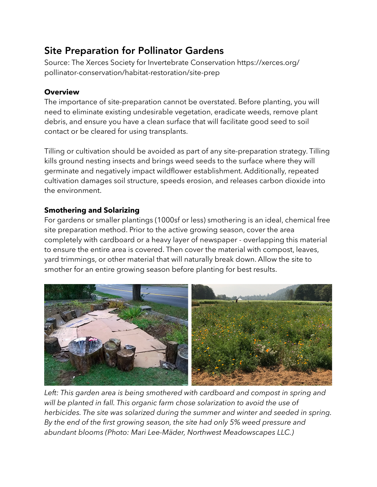## Site Preparation for Pollinator Gardens

Source: The Xerces Society for Invertebrate Conservation https://xerces.org/ pollinator-conservation/habitat-restoration/site-prep

## **Overview**

The importance of site-preparation cannot be overstated. Before planting, you will need to eliminate existing undesirable vegetation, eradicate weeds, remove plant debris, and ensure you have a clean surface that will facilitate good seed to soil contact or be cleared for using transplants.

Tilling or cultivation should be avoided as part of any site-preparation strategy. Tilling kills ground nesting insects and brings weed seeds to the surface where they will germinate and negatively impact wildflower establishment. Additionally, repeated cultivation damages soil structure, speeds erosion, and releases carbon dioxide into the environment.

## **Smothering and Solarizing**

For gardens or smaller plantings (1000sf or less) smothering is an ideal, chemical free site preparation method. Prior to the active growing season, cover the area completely with cardboard or a heavy layer of newspaper - overlapping this material to ensure the entire area is covered. Then cover the material with compost, leaves, yard trimmings, or other material that will naturally break down. Allow the site to smother for an entire growing season before planting for best results.



Left: This garden area is being smothered with cardboard and compost in spring and *will be planted in fall. This organic farm chose solarization to avoid the use of herbicides. The site was solarized during the summer and winter and seeded in spring. By the end of the first growing season, the site had only 5% weed pressure and abundant blooms (Photo: Mari Lee-Mäder, Northwest Meadowscapes LLC.)*